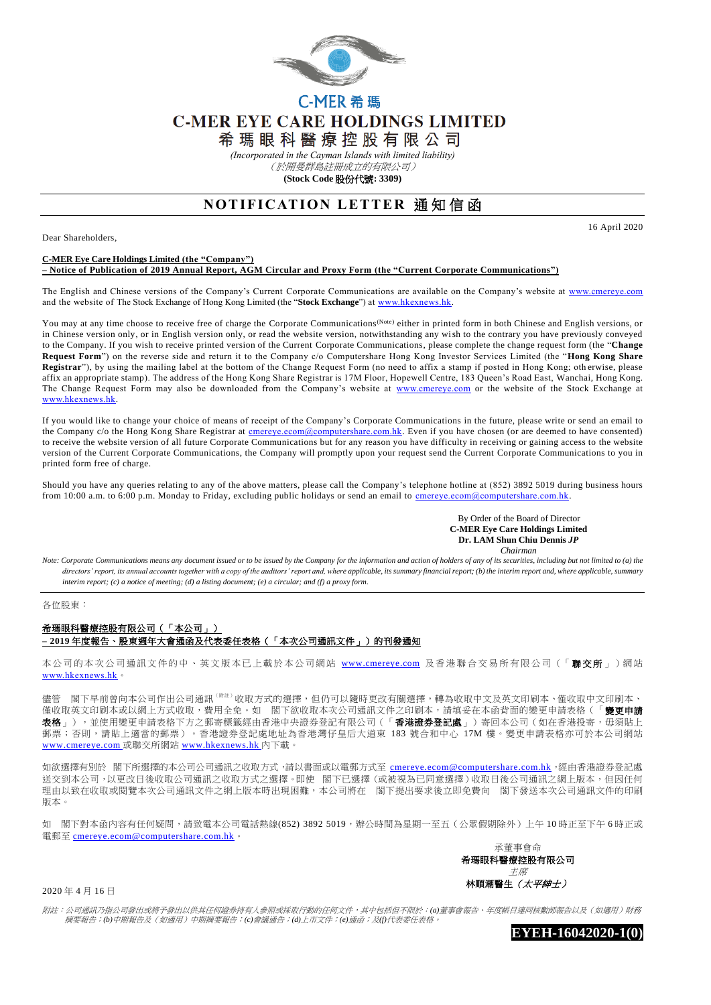

# C-MER 希 瑪 **C-MER EYE CARE HOLDINGS LIMITED**

希 瑪 眼 科 醫 療 控 股 有 限 公 司

*(Incorporated in the Cayman Islands with limited liability)*

(於開曼群島註冊成立的有限公司)

**(Stock Code** 股份代號**: 3309)**

## **NOTIFICATION LETTER 通知信函**

Dear Shareholders,

16 April 2020

#### **C-MER Eye Care Holdings Limited (the "Company") – Notice of Publication of 2019 Annual Report, AGM Circular and Proxy Form (the "Current Corporate Communications")**

The English and Chinese versions of the Company's Current Corporate Communications are available on the Company's website at [www.cmereye.com](http://www.cmereye.com/) and the website of The Stock Exchange of Hong Kong Limited (the "**Stock Exchange**") a[t www.hkexnews.hk.](http://www.hkexnews.hk/)

You may at any time choose to receive free of charge the Corporate Communications<sup>(Note)</sup> either in printed form in both Chinese and English versions, or in Chinese version only, or in English version only, or read the website version, notwithstanding any wish to the contrary you have previously conveyed to the Company. If you wish to receive printed version of the Current Corporate Communications, please complete the change request form (the "**Change Request Form**") on the reverse side and return it to the Company c/o Computershare Hong Kong Investor Services Limited (the "**Hong Kong Share Registrar**"), by using the mailing label at the bottom of the Change Request Form (no need to affix a stamp if posted in Hong Kong; oth erwise, please affix an appropriate stamp). The address of the Hong Kong Share Registrar is 17M Floor, Hopewell Centre, 183 Queen's Road East, Wanchai, Hong Kong. The Change Request Form may also be downloaded from the Company's website at [www.cmereye.com](http://www.cmereye.com/) or the website of the Stock Exchange at [www.hkexnews.hk.](http://www.hkexnews.hk/)

If you would like to change your choice of means of receipt of the Company's Corporate Communications in the future, please write or send an email to the Company c/o the Hong Kong Share Registrar at cmereye.com@computershare.com.hk. Even if you have chosen (or are deemed to have consented) to receive the website version of all future Corporate Communications but for any reason you have difficulty in receiving or gaining access to the website version of the Current Corporate Communications, the Company will promptly upon your request send the Current Corporate Communications to you in printed form free of charge.

Should you have any queries relating to any of the above matters, please call the Company's telephone hotline at (852) 3892 5019 during business hours from 10:00 a.m. to 6:00 p.m. Monday to Friday, excluding public holidays or send an email to [cmereye.ecom@computershare.com.hk.](mailto:cmereye.ecom@computershare.com.hk)

#### By Order of the Board of Director  **C-MER Eye Care Holdings Limited Dr. LAM Shun Chiu Dennis** *JP Chairman*

*Note: Corporate Communications means any document issued or to be issued by the Company for the information and action of holders of any of its securities, including but not limited to (a) the*  directors' report, its annual accounts together with a copy of the auditors' report and, where applicable, its summary financial report; (b) the interim report and, where applicable, summary *interim report; (c) a notice of meeting; (d) a listing document; (e) a circular; and (f) a proxy form.*

各位股東:

### 希瑪眼科醫療控股有限公司(「本公司」) **– 2019** 年度報告、股東週年大會通函及代表委任表格(「本次公司通訊文件」)的刊發通知

本公司的本次公司通訊文件的中、英文版本已上載於本公司網站 [www.cmereye.com](http://www.cmereye.com/) 及香港聯合交易所有限公司(「聯交所」)網站 [www.hkexnews.hk](http://www.hkexnews.hk/)。

儘管 閣下早前曾向本公司作出公司通訊 『##』收取方式的選擇,但仍可以隨時更改有關選擇,轉為收取中文及英文印刷本、僅收取中文印刷本、 僅收取英文印刷本或以網上方式收取,費用全免。如 閣下欲收取本次公司通訊文件之印刷本,請填妥在本函背面的變更申請表格(「**變更申請** 品於《次文》》,《次編書》)、《《文帝書》)。《清書》,《《音》、《音》、《音》、《音》、《音》)。《文章書》,《文章書》,《《文集》)。<br>**表格** 」),並使用變更申請表格下方之郵寄標籤經由香港中央證券登記有限公司(「**香港證券登記處** 」)寄回本公司(如在香港投寄,毋須貼上 郵票;否則,請貼上適當的郵票)。香港證券登記處地址為香港灣仔皇后大道東 183號合和中心 17M 樓。變更申請表格亦可於本公司網站 [www.cmereye.com](http://www.cmereye.com/) 或聯交所網站 [www.hkexnews.hk](http://www.hkexnews.hk/) 內下載。

如欲選擇有別於 閣下所選擇的本公司公司通訊之收取方式,請以書面或以電郵方式至 [cmereye.ecom@computershare.com.hk](mailto:cmereye.ecom@computershare.com.hk),經由香港證券登記處 送交到本公司,,以更改日後收取公司通訊之收取方式之選擇。即使 閣下已選擇 (或被視為已同意選擇)收取日後公司通訊之網上版本,但因任何 理由以致在收取或閱覽本次公司通訊文件之網上版本時出現困難,本公司將在 閣下提出要求後立即免費向 閣下發送本次公司通訊文件的印刷 版本。

如 閣下對本函內容有任何疑問,請致電本公司電話熱線(852) 3892 5019,辦公時間為星期一至五(公眾假期除外)上午 10 時正至下午 6 時正或 電郵至 [cmereye.ecom@computershare.com.hk](mailto:cmereye.ecom@computershare.com.hk)。



2020 年 4 月 16 日

附註:公司通訊乃指公司發出或將予發出以供其任何證券持有人參照或採取行動的任何文件,其中包括但不限於:*(a)*董事會報告、年度帳目連同核數師報告以及(如適用)財務 摘要報告;*(b)*中期報告及(如適用)中期摘要報告;*(c)*會議通告;*(d)*上市文件;*(e)*通函;及*(f)*代表委任表格。

**EYEH-16042020-1(0)**